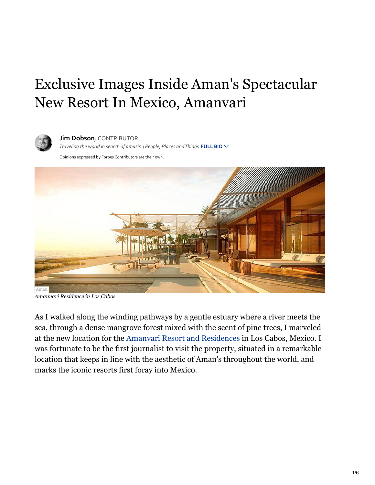## Exclusive Images Inside Aman's Spectacular New Resort In Mexico, Amanvari



**Jim Dobson, CONTRIBUTOR** Traveling the world in search of amazing People, Places and Things FULL BIO  $\vee$ 

Opinions expressed by Forbes Contributors are their own.



*Amanvari Residence in Los Cabos*

As I walked along the winding pathways by a gentle estuary where a river meets the sea, through a dense mangrove forest mixed with the scent of pine trees, I marveled at the new location for the [Amanvari Resort and Residences](http://costapalmas.com/amanvari) in Los Cabos, Mexico. I was fortunate to be the first journalist to visit the property, situated in a remarkable location that keeps in line with the aesthetic of Aman's throughout the world, and marks the iconic resorts first foray into Mexico.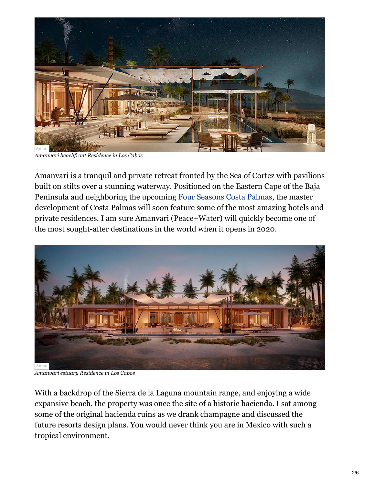

*Amanvari beachfront Residence in Los Cabos*

Amanvari is a tranquil and private retreat fronted by the Sea of Cortez with pavilions built on stilts over a stunning waterway. Positioned on the Eastern Cape of the Baja Peninsula and neighboring the upcoming [Four Seasons Costa Palmas,](https://www.forbes.com/sites/jimdobson/2017/01/02/exclusive-look-inside-the-new-four-seasons-costa-palmas-resort-and-residences-in-cabo-san-lucas/#29d71c887060) the master development of Costa Palmas will soon feature some of the most amazing hotels and private residences. I am sure Amanvari (Peace+Water) will quickly become one of the most sought-after destinations in the world when it opens in 2020.



*Amanvari estuary Residence in Los Cabos*

With a backdrop of the Sierra de la Laguna mountain range, and enjoying a wide expansive beach, the property was once the site of a historic hacienda. I sat among some of the original hacienda ruins as we drank champagne and discussed the future resorts design plans. You would never think you are in Mexico with such a tropical environment.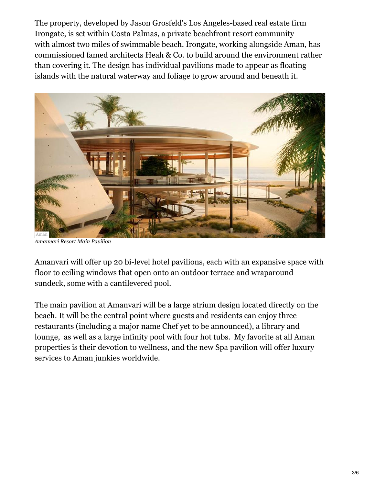The property, developed by Jason Grosfeld's Los Angeles-based real estate firm Irongate, is set within Costa Palmas, a private beachfront resort community with almost two miles of swimmable beach. Irongate, working alongside Aman, has commissioned famed architects Heah & Co. to build around the environment rather than covering it. The design has individual pavilions made to appear as floating islands with the natural waterway and foliage to grow around and beneath it.



*Amanvari Resort Main Pavilion*

Amanvari will offer up 20 bi-level hotel pavilions, each with an expansive space with floor to ceiling windows that open onto an outdoor terrace and wraparound sundeck, some with a cantilevered pool.

The main pavilion at Amanvari will be a large atrium design located directly on the beach. It will be the central point where guests and residents can enjoy three restaurants (including a major name Chef yet to be announced), a library and lounge, as well as a large infinity pool with four hot tubs. My favorite at all Aman properties is their devotion to wellness, and the new Spa pavilion will offer luxury services to Aman junkies worldwide.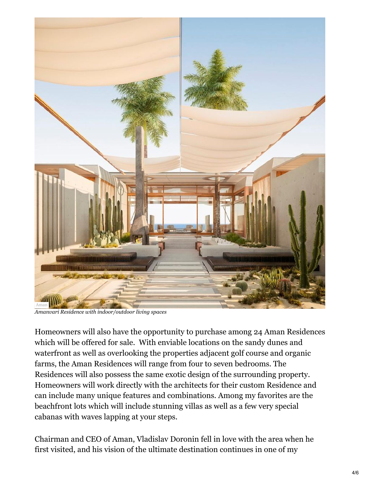

*Amanvari Residence with indoor/outdoor living spaces*

Homeowners will also have the opportunity to purchase among 24 Aman Residences which will be offered for sale. With enviable locations on the sandy dunes and waterfront as well as overlooking the properties adjacent golf course and organic farms, the Aman Residences will range from four to seven bedrooms. The Residences will also possess the same exotic design of the surrounding property. Homeowners will work directly with the architects for their custom Residence and can include many unique features and combinations. Among my favorites are the beachfront lots which will include stunning villas as well as a few very special cabanas with waves lapping at your steps.

Chairman and CEO of Aman, Vladislav Doronin fell in love with the area when he first visited, and his vision of the ultimate destination continues in one of my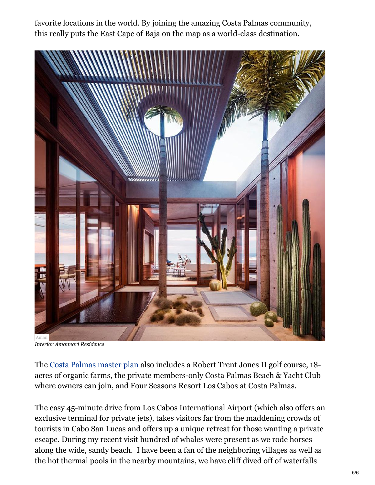favorite locations in the world. By joining the amazing Costa Palmas community, this really puts the East Cape of Baja on the map as a world-class destination.



*Interior Amanvari Residence*

The [Costa Palmas master plan](https://costapalmas.com/the-resort-map/) also includes a Robert Trent Jones II golf course, 18 acres of organic farms, the private members-only Costa Palmas Beach & Yacht Club where owners can join, and Four Seasons Resort Los Cabos at Costa Palmas.

The easy 45-minute drive from Los Cabos International Airport (which also offers an exclusive terminal for private jets), takes visitors far from the maddening crowds of tourists in Cabo San Lucas and offers up a unique retreat for those wanting a private escape. During my recent visit hundred of whales were present as we rode horses along the wide, sandy beach. I have been a fan of the neighboring villages as well as the hot thermal pools in the nearby mountains, we have cliff dived off of waterfalls